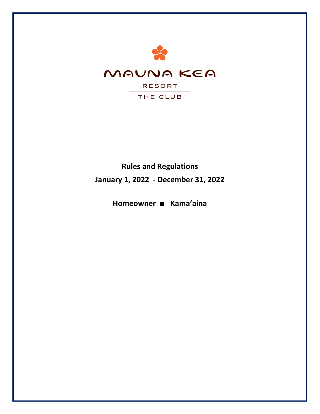

# **Rules and Regulations January 1, 2022 - December 31, 2022**

**Homeowner ■ Kama'aina**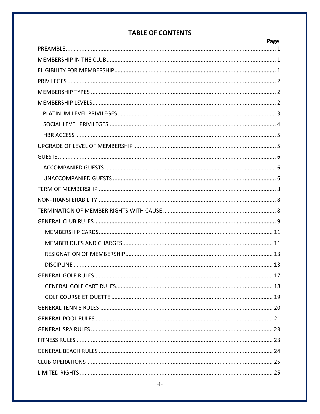## **TABLE OF CONTENTS**

| Page |  |
|------|--|
|      |  |
|      |  |
|      |  |
|      |  |
|      |  |
|      |  |
|      |  |
|      |  |
|      |  |
|      |  |
|      |  |
|      |  |
|      |  |
|      |  |
|      |  |
|      |  |
|      |  |
|      |  |
|      |  |
|      |  |
|      |  |
|      |  |
|      |  |
|      |  |
|      |  |
|      |  |
|      |  |
|      |  |
|      |  |
|      |  |
|      |  |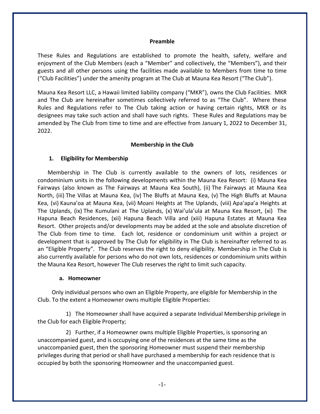#### **Preamble**

These Rules and Regulations are established to promote the health, safety, welfare and enjoyment of the Club Members (each a "Member" and collectively, the "Members"), and their guests and all other persons using the facilities made available to Members from time to time ("Club Facilities") under the amenity program at The Club at Mauna Kea Resort ("The Club").

Mauna Kea Resort LLC, a Hawaii limited liability company ("MKR"), owns the Club Facilities. MKR and The Club are hereinafter sometimes collectively referred to as "The Club". Where these Rules and Regulations refer to The Club taking action or having certain rights, MKR or its designees may take such action and shall have such rights. These Rules and Regulations may be amended by The Club from time to time and are effective from January 1, 2022 to December 31, 2022.

#### **Membership in the Club**

#### **1. Eligibility for Membership**

 Membership in The Club is currently available to the owners of lots, residences or condominium units in the following developments within the Mauna Kea Resort: (i) Mauna Kea Fairways (also known as The Fairways at Mauna Kea South), (ii) The Fairways at Mauna Kea North, (iii) The Villas at Mauna Kea, (iv) The Bluffs at Mauna Kea, (v) The High Bluffs at Mauna Kea, (vi) Kauna'oa at Mauna Kea, (vii) Moani Heights at The Uplands, (viii) Apa'apa'a Heights at The Uplands, (ix) The Kumulani at The Uplands, (x) Wai'ula'ula at Mauna Kea Resort, (xi) The Hapuna Beach Residences, (xii) Hapuna Beach Villa and (xiii) Hapuna Estates at Mauna Kea Resort. Other projects and/or developments may be added at the sole and absolute discretion of The Club from time to time. Each lot, residence or condominium unit within a project or development that is approved by The Club for eligibility in The Club is hereinafter referred to as an "Eligible Property". The Club reserves the right to deny eligibility. Membership in The Club is also currently available for persons who do not own lots, residences or condominium units within the Mauna Kea Resort, however The Club reserves the right to limit such capacity.

#### **a. Homeowner**

Only individual persons who own an Eligible Property, are eligible for Membership in the Club. To the extent a Homeowner owns multiple Eligible Properties:

1) The Homeowner shall have acquired a separate Individual Membership privilege in the Club for each Eligible Property;

2) Further, if a Homeowner owns multiple Eligible Properties, is sponsoring an unaccompanied guest, and is occupying one of the residences at the same time as the unaccompanied guest, then the sponsoring Homeowner must suspend their membership privileges during that period or shall have purchased a membership for each residence that is occupied by both the sponsoring Homeowner and the unaccompanied guest.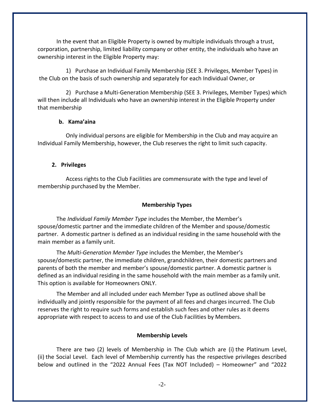In the event that an Eligible Property is owned by multiple individuals through a trust, corporation, partnership, limited liability company or other entity, the individuals who have an ownership interest in the Eligible Property may:

1) Purchase an Individual Family Membership (SEE 3. Privileges, Member Types) in the Club on the basis of such ownership and separately for each Individual Owner, or

2) Purchase a Multi-Generation Membership (SEE 3. Privileges, Member Types) which will then include all Individuals who have an ownership interest in the Eligible Property under that membership

## **b. Kama'aina**

Only individual persons are eligible for Membership in the Club and may acquire an Individual Family Membership, however, the Club reserves the right to limit such capacity.

## **2. Privileges**

Access rights to the Club Facilities are commensurate with the type and level of membership purchased by the Member.

### **Membership Types**

The *Individual Family Member Type* includes the Member, the Member's spouse/domestic partner and the immediate children of the Member and spouse/domestic partner. A domestic partner is defined as an individual residing in the same household with the main member as a family unit.

The *Multi-Generation Member Type* includes the Member, the Member's spouse/domestic partner, the immediate children, grandchildren, their domestic partners and parents of both the member and member's spouse/domestic partner. A domestic partner is defined as an individual residing in the same household with the main member as a family unit. This option is available for Homeowners ONLY.

The Member and all included under each Member Type as outlined above shall be individually and jointly responsible for the payment of all fees and charges incurred. The Club reserves the right to require such forms and establish such fees and other rules as it deems appropriate with respect to access to and use of the Club Facilities by Members.

## **Membership Levels**

There are two (2) levels of Membership in The Club which are (i) the Platinum Level, (ii) the Social Level. Each level of Membership currently has the respective privileges described below and outlined in the "2022 Annual Fees (Tax NOT Included) – Homeowner" and "2022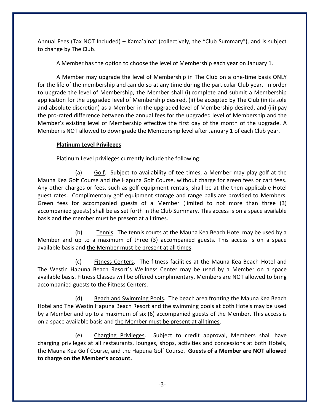Annual Fees (Tax NOT Included) – Kama'aina" (collectively, the "Club Summary"), and is subject to change by The Club.

A Member has the option to choose the level of Membership each year on January 1.

A Member may upgrade the level of Membership in The Club on a one-time basis ONLY for the life of the membership and can do so at any time during the particular Club year. In order to upgrade the level of Membership, the Member shall (i) complete and submit a Membership application for the upgraded level of Membership desired, (ii) be accepted by The Club (in its sole and absolute discretion) as a Member in the upgraded level of Membership desired, and (iii) pay the pro-rated difference between the annual fees for the upgraded level of Membership and the Member's existing level of Membership effective the first day of the month of the upgrade. A Member is NOT allowed to downgrade the Membership level after January 1 of each Club year.

## **Platinum Level Privileges**

Platinum Level privileges currently include the following:

(a) Golf. Subject to availability of tee times, a Member may play golf at the Mauna Kea Golf Course and the Hapuna Golf Course, without charge for green fees or cart fees. Any other charges or fees, such as golf equipment rentals, shall be at the then applicable Hotel guest rates. Complimentary golf equipment storage and range balls are provided to Members. Green fees for accompanied guests of a Member (limited to not more than three (3) accompanied guests) shall be as set forth in the Club Summary. This access is on a space available basis and the member must be present at all times.

(b) Tennis. The tennis courts at the Mauna Kea Beach Hotel may be used by a Member and up to a maximum of three (3) accompanied guests. This access is on a space available basis and the Member must be present at all times.

(c) Fitness Centers. The fitness facilities at the Mauna Kea Beach Hotel and The Westin Hapuna Beach Resort's Wellness Center may be used by a Member on a space available basis. Fitness Classes will be offered complimentary. Members are NOT allowed to bring accompanied guests to the Fitness Centers.

(d) Beach and Swimming Pools. The beach area fronting the Mauna Kea Beach Hotel and The Westin Hapuna Beach Resort and the swimming pools at both Hotels may be used by a Member and up to a maximum of six (6) accompanied guests of the Member. This access is on a space available basis and the Member must be present at all times.

(e) Charging Privileges. Subject to credit approval, Members shall have charging privileges at all restaurants, lounges, shops, activities and concessions at both Hotels, the Mauna Kea Golf Course, and the Hapuna Golf Course. **Guests of a Member are NOT allowed to charge on the Member's account.**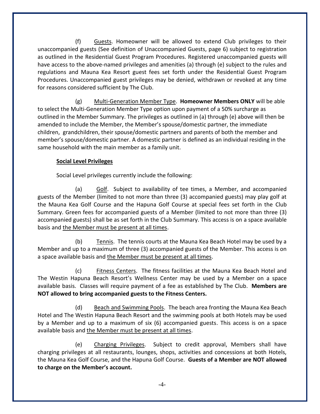(f) Guests. Homeowner will be allowed to extend Club privileges to their unaccompanied guests (See definition of Unaccompanied Guests, page 6) subject to registration as outlined in the Residential Guest Program Procedures. Registered unaccompanied guests will have access to the above-named privileges and amenities (a) through (e) subject to the rules and regulations and Mauna Kea Resort guest fees set forth under the Residential Guest Program Procedures. Unaccompanied guest privileges may be denied, withdrawn or revoked at any time for reasons considered sufficient by The Club.

(g) Multi-Generation Member Type. **Homeowner Members ONLY** will be able to select the Multi-Generation Member Type option upon payment of a 50% surcharge as outlined in the Member Summary. The privileges as outlined in (a) through (e) above will then be amended to include the Member, the Member's spouse/domestic partner, the immediate children, grandchildren, their spouse/domestic partners and parents of both the member and member's spouse/domestic partner. A domestic partner is defined as an individual residing in the same household with the main member as a family unit.

## **Social Level Privileges**

Social Level privileges currently include the following:

(a) Golf. Subject to availability of tee times, a Member, and accompanied guests of the Member (limited to not more than three (3) accompanied guests) may play golf at the Mauna Kea Golf Course and the Hapuna Golf Course at special fees set forth in the Club Summary. Green fees for accompanied guests of a Member (limited to not more than three (3) accompanied guests) shall be as set forth in the Club Summary. This access is on a space available basis and the Member must be present at all times.

(b) Tennis. The tennis courts at the Mauna Kea Beach Hotel may be used by a Member and up to a maximum of three (3) accompanied guests of the Member. This access is on a space available basis and the Member must be present at all times.

(c) Fitness Centers. The fitness facilities at the Mauna Kea Beach Hotel and The Westin Hapuna Beach Resort's Wellness Center may be used by a Member on a space available basis. Classes will require payment of a fee as established by The Club. **Members are NOT allowed to bring accompanied guests to the Fitness Centers.**

(d) Beach and Swimming Pools. The beach area fronting the Mauna Kea Beach Hotel and The Westin Hapuna Beach Resort and the swimming pools at both Hotels may be used by a Member and up to a maximum of six (6) accompanied guests. This access is on a space available basis and the Member must be present at all times.

(e) Charging Privileges. Subject to credit approval, Members shall have charging privileges at all restaurants, lounges, shops, activities and concessions at both Hotels, the Mauna Kea Golf Course, and the Hapuna Golf Course. **Guests of a Member are NOT allowed to charge on the Member's account.**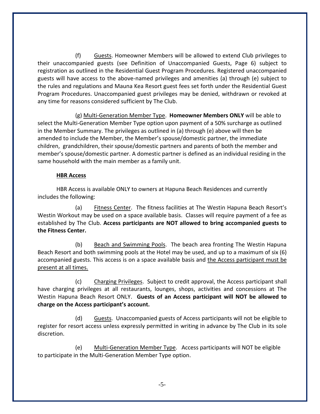(f) Guests. Homeowner Members will be allowed to extend Club privileges to their unaccompanied guests (see Definition of Unaccompanied Guests, Page 6) subject to registration as outlined in the Residential Guest Program Procedures. Registered unaccompanied guests will have access to the above-named privileges and amenities (a) through (e) subject to the rules and regulations and Mauna Kea Resort guest fees set forth under the Residential Guest Program Procedures. Unaccompanied guest privileges may be denied, withdrawn or revoked at any time for reasons considered sufficient by The Club.

(g) Multi-Generation Member Type. **Homeowner Members ONLY** will be able to select the Multi-Generation Member Type option upon payment of a 50% surcharge as outlined in the Member Summary. The privileges as outlined in (a) through (e) above will then be amended to include the Member, the Member's spouse/domestic partner, the immediate children, grandchildren, their spouse/domestic partners and parents of both the member and member's spouse/domestic partner. A domestic partner is defined as an individual residing in the same household with the main member as a family unit.

## **HBR Access**

HBR Access is available ONLY to owners at Hapuna Beach Residences and currently includes the following:

(a) Fitness Center. The fitness facilities at The Westin Hapuna Beach Resort's Westin Workout may be used on a space available basis. Classes will require payment of a fee as established by The Club. **Access participants are NOT allowed to bring accompanied guests to the Fitness Center.**

(b) Beach and Swimming Pools. The beach area fronting The Westin Hapuna Beach Resort and both swimming pools at the Hotel may be used, and up to a maximum of six (6) accompanied guests. This access is on a space available basis and the Access participant must be present at all times.

(c) Charging Privileges. Subject to credit approval, the Access participant shall have charging privileges at all restaurants, lounges, shops, activities and concessions at The Westin Hapuna Beach Resort ONLY. **Guests of an Access participant will NOT be allowed to charge on the Access participant's account.**

(d) Guests. Unaccompanied guests of Access participants will not be eligible to register for resort access unless expressly permitted in writing in advance by The Club in its sole discretion.

(e) Multi-Generation Member Type. Access participants will NOT be eligible to participate in the Multi-Generation Member Type option.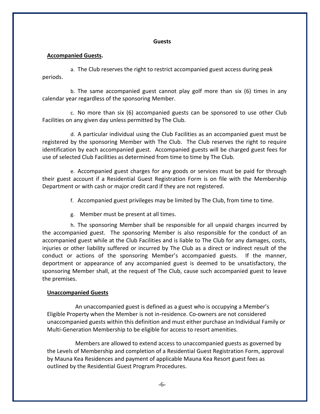#### **Guests**

#### **Accompanied Guests.**

a. The Club reserves the right to restrict accompanied guest access during peak periods.

b. The same accompanied guest cannot play golf more than six (6) times in any calendar year regardless of the sponsoring Member.

c. No more than six (6) accompanied guests can be sponsored to use other Club Facilities on any given day unless permitted by The Club.

d. A particular individual using the Club Facilities as an accompanied guest must be registered by the sponsoring Member with The Club. The Club reserves the right to require identification by each accompanied guest. Accompanied guests will be charged guest fees for use of selected Club Facilities as determined from time to time by The Club.

e. Accompanied guest charges for any goods or services must be paid for through their guest account if a Residential Guest Registration Form is on file with the Membership Department or with cash or major credit card if they are not registered.

f. Accompanied guest privileges may be limited by The Club, from time to time.

g. Member must be present at all times.

h. The sponsoring Member shall be responsible for all unpaid charges incurred by the accompanied guest. The sponsoring Member is also responsible for the conduct of an accompanied guest while at the Club Facilities and is liable to The Club for any damages, costs, injuries or other liability suffered or incurred by The Club as a direct or indirect result of the conduct or actions of the sponsoring Member's accompanied guests. If the manner, deportment or appearance of any accompanied guest is deemed to be unsatisfactory, the sponsoring Member shall, at the request of The Club, cause such accompanied guest to leave the premises.

## **Unaccompanied Guests**

An unaccompanied guest is defined as a guest who is occupying a Member's Eligible Property when the Member is not in-residence. Co-owners are not considered unaccompanied guests within this definition and must either purchase an Individual Family or Multi-Generation Membership to be eligible for access to resort amenities.

Members are allowed to extend access to unaccompanied guests as governed by the Levels of Membership and completion of a Residential Guest Registration Form, approval by Mauna Kea Residences and payment of applicable Mauna Kea Resort guest fees as outlined by the Residential Guest Program Procedures.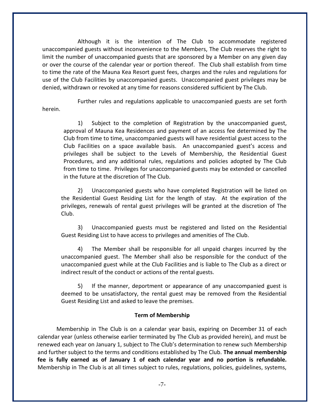Although it is the intention of The Club to accommodate registered unaccompanied guests without inconvenience to the Members, The Club reserves the right to limit the number of unaccompanied guests that are sponsored by a Member on any given day or over the course of the calendar year or portion thereof. The Club shall establish from time to time the rate of the Mauna Kea Resort guest fees, charges and the rules and regulations for use of the Club Facilities by unaccompanied guests. Unaccompanied guest privileges may be denied, withdrawn or revoked at any time for reasons considered sufficient by The Club.

Further rules and regulations applicable to unaccompanied guests are set forth herein.

1) Subject to the completion of Registration by the unaccompanied guest, approval of Mauna Kea Residences and payment of an access fee determined by The Club from time to time, unaccompanied guests will have residential guest access to the Club Facilities on a space available basis. An unaccompanied guest's access and privileges shall be subject to the Levels of Membership, the Residential Guest Procedures, and any additional rules, regulations and policies adopted by The Club from time to time. Privileges for unaccompanied guests may be extended or cancelled in the future at the discretion of The Club.

2) Unaccompanied guests who have completed Registration will be listed on the Residential Guest Residing List for the length of stay. At the expiration of the privileges, renewals of rental guest privileges will be granted at the discretion of The Club.

3) Unaccompanied guests must be registered and listed on the Residential Guest Residing List to have access to privileges and amenities of The Club.

4) The Member shall be responsible for all unpaid charges incurred by the unaccompanied guest. The Member shall also be responsible for the conduct of the unaccompanied guest while at the Club Facilities and is liable to The Club as a direct or indirect result of the conduct or actions of the rental guests.

5) If the manner, deportment or appearance of any unaccompanied guest is deemed to be unsatisfactory, the rental guest may be removed from the Residential Guest Residing List and asked to leave the premises.

#### **Term of Membership**

Membership in The Club is on a calendar year basis, expiring on December 31 of each calendar year (unless otherwise earlier terminated by The Club as provided herein), and must be renewed each year on January 1, subject to The Club's determination to renew such Membership and further subject to the terms and conditions established by The Club. **The annual membership fee is fully earned as of January 1 of each calendar year and no portion is refundable.** Membership in The Club is at all times subject to rules, regulations, policies, guidelines, systems,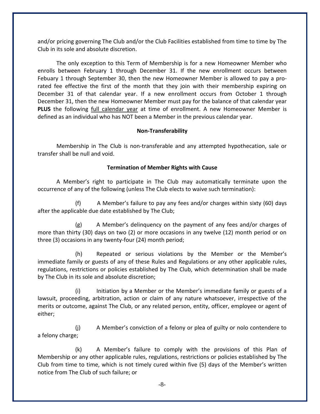and/or pricing governing The Club and/or the Club Facilities established from time to time by The Club in its sole and absolute discretion.

The only exception to this Term of Membership is for a new Homeowner Member who enrolls between February 1 through December 31. If the new enrollment occurs between Febuary 1 through September 30, then the new Homeowner Member is allowed to pay a prorated fee effective the first of the month that they join with their membership expiring on December 31 of that calendar year. If a new enrollment occurs from October 1 through December 31, then the new Homeowner Member must pay for the balance of that calendar year **PLUS** the following full calendar year at time of enrollment. A new Homeowner Member is defined as an individual who has NOT been a Member in the previous calendar year.

#### **Non-Transferability**

Membership in The Club is non-transferable and any attempted hypothecation, sale or transfer shall be null and void.

#### **Termination of Member Rights with Cause**

A Member's right to participate in The Club may automatically terminate upon the occurrence of any of the following (unless The Club elects to waive such termination):

(f) A Member's failure to pay any fees and/or charges within sixty (60) days after the applicable due date established by The Club;

(g) A Member's delinquency on the payment of any fees and/or charges of more than thirty (30) days on two (2) or more occasions in any twelve (12) month period or on three (3) occasions in any twenty-four (24) month period;

(h) Repeated or serious violations by the Member or the Member's immediate family or guests of any of these Rules and Regulations or any other applicable rules, regulations, restrictions or policies established by The Club, which determination shall be made by The Club in its sole and absolute discretion;

(i) Initiation by a Member or the Member's immediate family or guests of a lawsuit, proceeding, arbitration, action or claim of any nature whatsoever, irrespective of the merits or outcome, against The Club, or any related person, entity, officer, employee or agent of either;

(j) A Member's conviction of a felony or plea of guilty or nolo contendere to a felony charge;

(k) A Member's failure to comply with the provisions of this Plan of Membership or any other applicable rules, regulations, restrictions or policies established by The Club from time to time, which is not timely cured within five (5) days of the Member's written notice from The Club of such failure; or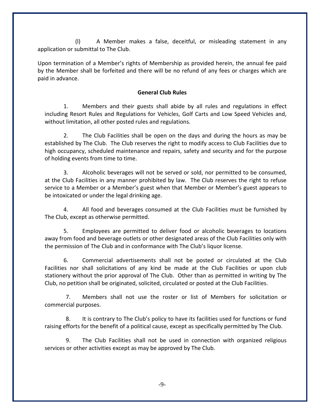(l) A Member makes a false, deceitful, or misleading statement in any application or submittal to The Club.

Upon termination of a Member's rights of Membership as provided herein, the annual fee paid by the Member shall be forfeited and there will be no refund of any fees or charges which are paid in advance.

## **General Club Rules**

1. Members and their guests shall abide by all rules and regulations in effect including Resort Rules and Regulations for Vehicles, Golf Carts and Low Speed Vehicles and, without limitation, all other posted rules and regulations.

2. The Club Facilities shall be open on the days and during the hours as may be established by The Club. The Club reserves the right to modify access to Club Facilities due to high occupancy, scheduled maintenance and repairs, safety and security and for the purpose of holding events from time to time.

3. Alcoholic beverages will not be served or sold, nor permitted to be consumed, at the Club Facilities in any manner prohibited by law. The Club reserves the right to refuse service to a Member or a Member's guest when that Member or Member's guest appears to be intoxicated or under the legal drinking age.

4. All food and beverages consumed at the Club Facilities must be furnished by The Club, except as otherwise permitted.

5. Employees are permitted to deliver food or alcoholic beverages to locations away from food and beverage outlets or other designated areas of the Club Facilities only with the permission of The Club and in conformance with The Club's liquor license.

6. Commercial advertisements shall not be posted or circulated at the Club Facilities nor shall solicitations of any kind be made at the Club Facilities or upon club stationery without the prior approval of The Club. Other than as permitted in writing by The Club, no petition shall be originated, solicited, circulated or posted at the Club Facilities.

7. Members shall not use the roster or list of Members for solicitation or commercial purposes.

8. It is contrary to The Club's policy to have its facilities used for functions or fund raising efforts for the benefit of a political cause, except as specifically permitted by The Club.

9. The Club Facilities shall not be used in connection with organized religious services or other activities except as may be approved by The Club.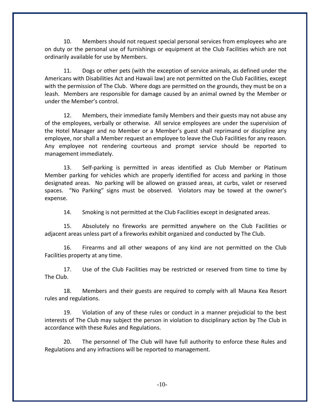10. Members should not request special personal services from employees who are on duty or the personal use of furnishings or equipment at the Club Facilities which are not ordinarily available for use by Members.

11. Dogs or other pets (with the exception of service animals, as defined under the Americans with Disabilities Act and Hawaii law) are not permitted on the Club Facilities, except with the permission of The Club. Where dogs are permitted on the grounds, they must be on a leash. Members are responsible for damage caused by an animal owned by the Member or under the Member's control.

12. Members, their immediate family Members and their guests may not abuse any of the employees, verbally or otherwise. All service employees are under the supervision of the Hotel Manager and no Member or a Member's guest shall reprimand or discipline any employee, nor shall a Member request an employee to leave the Club Facilities for any reason. Any employee not rendering courteous and prompt service should be reported to management immediately.

13. Self-parking is permitted in areas identified as Club Member or Platinum Member parking for vehicles which are properly identified for access and parking in those designated areas. No parking will be allowed on grassed areas, at curbs, valet or reserved spaces. "No Parking" signs must be observed. Violators may be towed at the owner's expense.

14. Smoking is not permitted at the Club Facilities except in designated areas.

15. Absolutely no fireworks are permitted anywhere on the Club Facilities or adjacent areas unless part of a fireworks exhibit organized and conducted by The Club.

16. Firearms and all other weapons of any kind are not permitted on the Club Facilities property at any time.

17. Use of the Club Facilities may be restricted or reserved from time to time by The Club.

18. Members and their guests are required to comply with all Mauna Kea Resort rules and regulations.

19. Violation of any of these rules or conduct in a manner prejudicial to the best interests of The Club may subject the person in violation to disciplinary action by The Club in accordance with these Rules and Regulations.

20. The personnel of The Club will have full authority to enforce these Rules and Regulations and any infractions will be reported to management.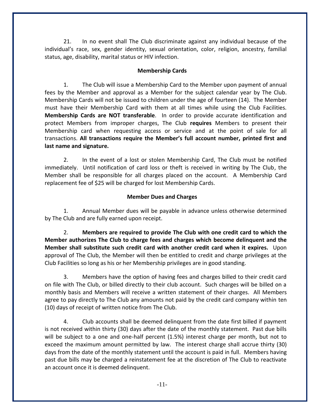21. In no event shall The Club discriminate against any individual because of the individual's race, sex, gender identity, sexual orientation, color, religion, ancestry, familial status, age, disability, marital status or HIV infection.

## **Membership Cards**

1. The Club will issue a Membership Card to the Member upon payment of annual fees by the Member and approval as a Member for the subject calendar year by The Club. Membership Cards will not be issued to children under the age of fourteen (14). The Member must have their Membership Card with them at all times while using the Club Facilities. **Membership Cards are NOT transferable**. In order to provide accurate identification and protect Members from improper charges, The Club **requires** Members to present their Membership card when requesting access or service and at the point of sale for all transactions. **All transactions require the Member's full account number, printed first and last name and signature.**

2. In the event of a lost or stolen Membership Card, The Club must be notified immediately. Until notification of card loss or theft is received in writing by The Club, the Member shall be responsible for all charges placed on the account. A Membership Card replacement fee of \$25 will be charged for lost Membership Cards.

## **Member Dues and Charges**

1. Annual Member dues will be payable in advance unless otherwise determined by The Club and are fully earned upon receipt.

2. **Members are required to provide The Club with one credit card to which the Member authorizes The Club to charge fees and charges which become delinquent and the Member shall substitute such credit card with another credit card when it expires.** Upon approval of The Club, the Member will then be entitled to credit and charge privileges at the Club Facilities so long as his or her Membership privileges are in good standing.

3. Members have the option of having fees and charges billed to their credit card on file with The Club, or billed directly to their club account. Such charges will be billed on a monthly basis and Members will receive a written statement of their charges. All Members agree to pay directly to The Club any amounts not paid by the credit card company within ten (10) days of receipt of written notice from The Club.

4. Club accounts shall be deemed delinquent from the date first billed if payment is not received within thirty (30) days after the date of the monthly statement. Past due bills will be subject to a one and one-half percent (1.5%) interest charge per month, but not to exceed the maximum amount permitted by law. The interest charge shall accrue thirty (30) days from the date of the monthly statement until the account is paid in full. Members having past due bills may be charged a reinstatement fee at the discretion of The Club to reactivate an account once it is deemed delinquent.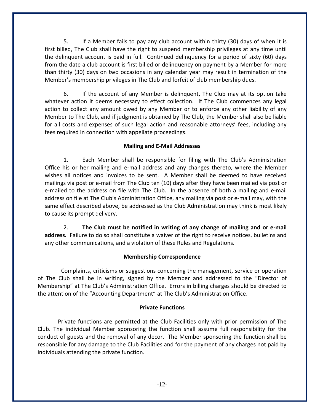5. If a Member fails to pay any club account within thirty (30) days of when it is first billed, The Club shall have the right to suspend membership privileges at any time until the delinquent account is paid in full. Continued delinquency for a period of sixty (60) days from the date a club account is first billed or delinquency on payment by a Member for more than thirty (30) days on two occasions in any calendar year may result in termination of the Member's membership privileges in The Club and forfeit of club membership dues.

6. If the account of any Member is delinquent, The Club may at its option take whatever action it deems necessary to effect collection. If The Club commences any legal action to collect any amount owed by any Member or to enforce any other liability of any Member to The Club, and if judgment is obtained by The Club, the Member shall also be liable for all costs and expenses of such legal action and reasonable attorneys' fees, including any fees required in connection with appellate proceedings.

#### **Mailing and E-Mail Addresses**

1. Each Member shall be responsible for filing with The Club's Administration Office his or her mailing and e-mail address and any changes thereto, where the Member wishes all notices and invoices to be sent. A Member shall be deemed to have received mailings via post or e-mail from The Club ten (10) days after they have been mailed via post or e-mailed to the address on file with The Club. In the absence of both a mailing and e-mail address on file at The Club's Administration Office, any mailing via post or e-mail may, with the same effect described above, be addressed as the Club Administration may think is most likely to cause its prompt delivery.

2. **The Club must be notified in writing of any change of mailing and or e-mail address.** Failure to do so shall constitute a waiver of the right to receive notices, bulletins and any other communications, and a violation of these Rules and Regulations.

## **Membership Correspondence**

 Complaints, criticisms or suggestions concerning the management, service or operation of The Club shall be in writing, signed by the Member and addressed to the "Director of Membership" at The Club's Administration Office. Errors in billing charges should be directed to the attention of the "Accounting Department" at The Club's Administration Office.

#### **Private Functions**

 Private functions are permitted at the Club Facilities only with prior permission of The Club. The individual Member sponsoring the function shall assume full responsibility for the conduct of guests and the removal of any decor. The Member sponsoring the function shall be responsible for any damage to the Club Facilities and for the payment of any charges not paid by individuals attending the private function.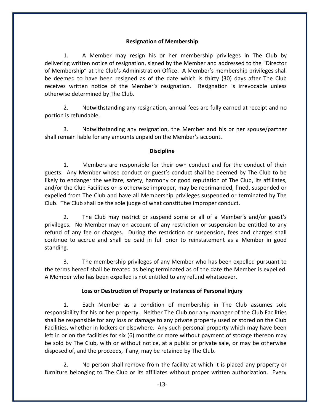## **Resignation of Membership**

1. A Member may resign his or her membership privileges in The Club by delivering written notice of resignation, signed by the Member and addressed to the "Director of Membership" at the Club's Administration Office. A Member's membership privileges shall be deemed to have been resigned as of the date which is thirty (30) days after The Club receives written notice of the Member's resignation. Resignation is irrevocable unless otherwise determined by The Club.

2. Notwithstanding any resignation, annual fees are fully earned at receipt and no portion is refundable.

3. Notwithstanding any resignation, the Member and his or her spouse/partner shall remain liable for any amounts unpaid on the Member's account.

## **Discipline**

1. Members are responsible for their own conduct and for the conduct of their guests. Any Member whose conduct or guest's conduct shall be deemed by The Club to be likely to endanger the welfare, safety, harmony or good reputation of The Club, its affiliates, and/or the Club Facilities or is otherwise improper, may be reprimanded, fined, suspended or expelled from The Club and have all Membership privileges suspended or terminated by The Club. The Club shall be the sole judge of what constitutes improper conduct.

2. The Club may restrict or suspend some or all of a Member's and/or guest's privileges. No Member may on account of any restriction or suspension be entitled to any refund of any fee or charges. During the restriction or suspension, fees and charges shall continue to accrue and shall be paid in full prior to reinstatement as a Member in good standing.

3. The membership privileges of any Member who has been expelled pursuant to the terms hereof shall be treated as being terminated as of the date the Member is expelled. A Member who has been expelled is not entitled to any refund whatsoever.

## **Loss or Destruction of Property or Instances of Personal Injury**

1. Each Member as a condition of membership in The Club assumes sole responsibility for his or her property. Neither The Club nor any manager of the Club Facilities shall be responsible for any loss or damage to any private property used or stored on the Club Facilities, whether in lockers or elsewhere. Any such personal property which may have been left in or on the facilities for six (6) months or more without payment of storage thereon may be sold by The Club, with or without notice, at a public or private sale, or may be otherwise disposed of, and the proceeds, if any, may be retained by The Club.

2. No person shall remove from the facility at which it is placed any property or furniture belonging to The Club or its affiliates without proper written authorization. Every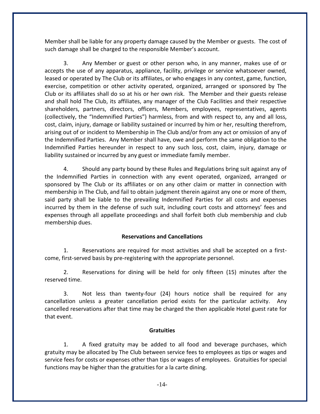Member shall be liable for any property damage caused by the Member or guests. The cost of such damage shall be charged to the responsible Member's account.

3. Any Member or guest or other person who, in any manner, makes use of or accepts the use of any apparatus, appliance, facility, privilege or service whatsoever owned, leased or operated by The Club or its affiliates, or who engages in any contest, game, function, exercise, competition or other activity operated, organized, arranged or sponsored by The Club or its affiliates shall do so at his or her own risk. The Member and their guests release and shall hold The Club, its affiliates, any manager of the Club Facilities and their respective shareholders, partners, directors, officers, Members, employees, representatives, agents (collectively, the "Indemnified Parties") harmless, from and with respect to, any and all loss, cost, claim, injury, damage or liability sustained or incurred by him or her, resulting therefrom, arising out of or incident to Membership in The Club and/or from any act or omission of any of the Indemnified Parties. Any Member shall have, owe and perform the same obligation to the Indemnified Parties hereunder in respect to any such loss, cost, claim, injury, damage or liability sustained or incurred by any guest or immediate family member.

4. Should any party bound by these Rules and Regulations bring suit against any of the Indemnified Parties in connection with any event operated, organized, arranged or sponsored by The Club or its affiliates or on any other claim or matter in connection with membership in The Club, and fail to obtain judgment therein against any one or more of them, said party shall be liable to the prevailing Indemnified Parties for all costs and expenses incurred by them in the defense of such suit, including court costs and attorneys' fees and expenses through all appellate proceedings and shall forfeit both club membership and club membership dues.

#### **Reservations and Cancellations**

1. Reservations are required for most activities and shall be accepted on a firstcome, first-served basis by pre-registering with the appropriate personnel.

2. Reservations for dining will be held for only fifteen (15) minutes after the reserved time.

3. Not less than twenty-four (24) hours notice shall be required for any cancellation unless a greater cancellation period exists for the particular activity. Any cancelled reservations after that time may be charged the then applicable Hotel guest rate for that event.

## **Gratuities**

1. A fixed gratuity may be added to all food and beverage purchases, which gratuity may be allocated by The Club between service fees to employees as tips or wages and service fees for costs or expenses other than tips or wages of employees. Gratuities for special functions may be higher than the gratuities for a la carte dining.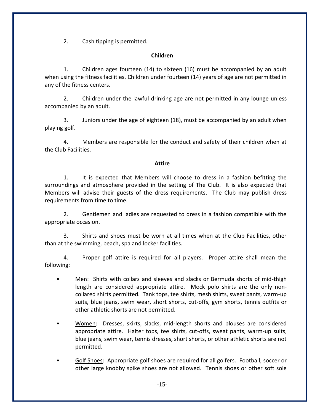2. Cash tipping is permitted.

## **Children**

1. Children ages fourteen (14) to sixteen (16) must be accompanied by an adult when using the fitness facilities. Children under fourteen (14) years of age are not permitted in any of the fitness centers.

2. Children under the lawful drinking age are not permitted in any lounge unless accompanied by an adult.

3. Juniors under the age of eighteen (18), must be accompanied by an adult when playing golf.

4. Members are responsible for the conduct and safety of their children when at the Club Facilities.

## **Attire**

1. It is expected that Members will choose to dress in a fashion befitting the surroundings and atmosphere provided in the setting of The Club. It is also expected that Members will advise their guests of the dress requirements. The Club may publish dress requirements from time to time.

2. Gentlemen and ladies are requested to dress in a fashion compatible with the appropriate occasion.

3. Shirts and shoes must be worn at all times when at the Club Facilities, other than at the swimming, beach, spa and locker facilities.

4. Proper golf attire is required for all players. Proper attire shall mean the following:

- Men: Shirts with collars and sleeves and slacks or Bermuda shorts of mid-thigh length are considered appropriate attire. Mock polo shirts are the only noncollared shirts permitted. Tank tops, tee shirts, mesh shirts, sweat pants, warm-up suits, blue jeans, swim wear, short shorts, cut-offs, gym shorts, tennis outfits or other athletic shorts are not permitted.
- Women: Dresses, skirts, slacks, mid-length shorts and blouses are considered appropriate attire. Halter tops, tee shirts, cut-offs, sweat pants, warm-up suits, blue jeans, swim wear, tennis dresses, short shorts, or other athletic shorts are not permitted.
- Golf Shoes: Appropriate golf shoes are required for all golfers. Football, soccer or other large knobby spike shoes are not allowed. Tennis shoes or other soft sole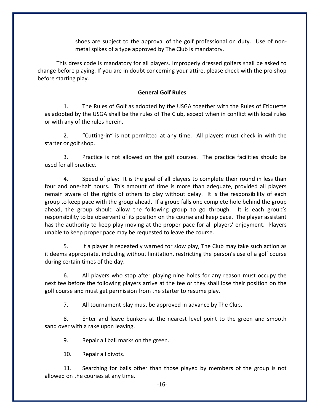shoes are subject to the approval of the golf professional on duty. Use of nonmetal spikes of a type approved by The Club is mandatory.

This dress code is mandatory for all players. Improperly dressed golfers shall be asked to change before playing. If you are in doubt concerning your attire, please check with the pro shop before starting play.

#### **General Golf Rules**

1. The Rules of Golf as adopted by the USGA together with the Rules of Etiquette as adopted by the USGA shall be the rules of The Club, except when in conflict with local rules or with any of the rules herein.

2. "Cutting-in" is not permitted at any time. All players must check in with the starter or golf shop.

3. Practice is not allowed on the golf courses. The practice facilities should be used for all practice.

4. Speed of play: It is the goal of all players to complete their round in less than four and one-half hours. This amount of time is more than adequate, provided all players remain aware of the rights of others to play without delay. It is the responsibility of each group to keep pace with the group ahead. If a group falls one complete hole behind the group ahead, the group should allow the following group to go through. It is each group's responsibility to be observant of its position on the course and keep pace. The player assistant has the authority to keep play moving at the proper pace for all players' enjoyment. Players unable to keep proper pace may be requested to leave the course.

5. If a player is repeatedly warned for slow play, The Club may take such action as it deems appropriate, including without limitation, restricting the person's use of a golf course during certain times of the day.

6. All players who stop after playing nine holes for any reason must occupy the next tee before the following players arrive at the tee or they shall lose their position on the golf course and must get permission from the starter to resume play.

7. All tournament play must be approved in advance by The Club.

8. Enter and leave bunkers at the nearest level point to the green and smooth sand over with a rake upon leaving.

9. Repair all ball marks on the green.

10. Repair all divots.

11. Searching for balls other than those played by members of the group is not allowed on the courses at any time.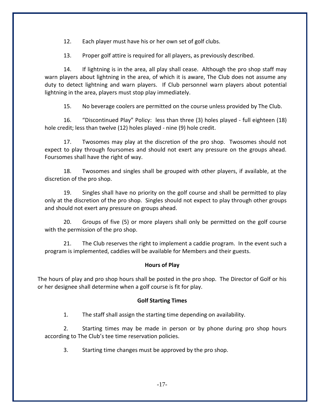12. Each player must have his or her own set of golf clubs.

13. Proper golf attire is required for all players, as previously described.

14. If lightning is in the area, all play shall cease. Although the pro shop staff may warn players about lightning in the area, of which it is aware, The Club does not assume any duty to detect lightning and warn players. If Club personnel warn players about potential lightning in the area, players must stop play immediately.

15. No beverage coolers are permitted on the course unless provided by The Club.

16. "Discontinued Play" Policy: less than three (3) holes played - full eighteen (18) hole credit; less than twelve (12) holes played - nine (9) hole credit.

17. Twosomes may play at the discretion of the pro shop. Twosomes should not expect to play through foursomes and should not exert any pressure on the groups ahead. Foursomes shall have the right of way.

18. Twosomes and singles shall be grouped with other players, if available, at the discretion of the pro shop.

19. Singles shall have no priority on the golf course and shall be permitted to play only at the discretion of the pro shop. Singles should not expect to play through other groups and should not exert any pressure on groups ahead.

20. Groups of five (5) or more players shall only be permitted on the golf course with the permission of the pro shop.

21. The Club reserves the right to implement a caddie program. In the event such a program is implemented, caddies will be available for Members and their guests.

## **Hours of Play**

The hours of play and pro shop hours shall be posted in the pro shop. The Director of Golf or his or her designee shall determine when a golf course is fit for play.

## **Golf Starting Times**

1. The staff shall assign the starting time depending on availability.

2. Starting times may be made in person or by phone during pro shop hours according to The Club's tee time reservation policies.

3. Starting time changes must be approved by the pro shop.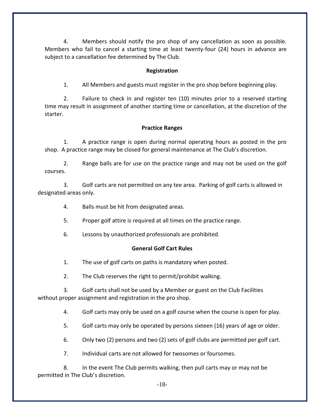4. Members should notify the pro shop of any cancellation as soon as possible. Members who fail to cancel a starting time at least twenty-four (24) hours in advance are subject to a cancellation fee determined by The Club.

#### **Registration**

1. All Members and guests must register in the pro shop before beginning play.

2. Failure to check in and register ten (10) minutes prior to a reserved starting time may result in assignment of another starting time or cancellation, at the discretion of the starter.

#### **Practice Ranges**

1. A practice range is open during normal operating hours as posted in the pro shop. A practice range may be closed for general maintenance at The Club's discretion.

2. Range balls are for use on the practice range and may not be used on the golf courses.

3. Golf carts are not permitted on any tee area. Parking of golf carts is allowed in designated areas only.

- 4. Balls must be hit from designated areas.
- 5. Proper golf attire is required at all times on the practice range.
- 6. Lessons by unauthorized professionals are prohibited.

#### **General Golf Cart Rules**

- 1. The use of golf carts on paths is mandatory when posted.
- 2. The Club reserves the right to permit/prohibit walking.
- 3. Golf carts shall not be used by a Member or guest on the Club Facilities without proper assignment and registration in the pro shop.
	- 4. Golf carts may only be used on a golf course when the course is open for play.
	- 5. Golf carts may only be operated by persons sixteen (16) years of age or older.
	- 6. Only two (2) persons and two (2) sets of golf clubs are permitted per golf cart.
	- 7. Individual carts are not allowed for twosomes or foursomes.

8. In the event The Club permits walking, then pull carts may or may not be permitted in The Club's discretion.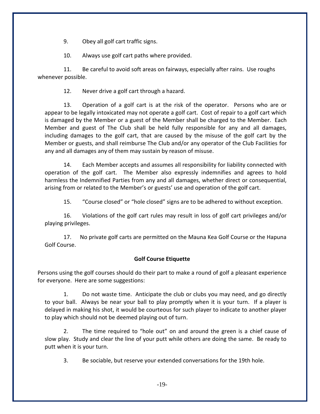9. Obey all golf cart traffic signs.

10. Always use golf cart paths where provided.

11. Be careful to avoid soft areas on fairways, especially after rains. Use roughs whenever possible.

12. Never drive a golf cart through a hazard.

13. Operation of a golf cart is at the risk of the operator. Persons who are or appear to be legally intoxicated may not operate a golf cart. Cost of repair to a golf cart which is damaged by the Member or a guest of the Member shall be charged to the Member. Each Member and guest of The Club shall be held fully responsible for any and all damages, including damages to the golf cart, that are caused by the misuse of the golf cart by the Member or guests, and shall reimburse The Club and/or any operator of the Club Facilities for any and all damages any of them may sustain by reason of misuse.

14. Each Member accepts and assumes all responsibility for liability connected with operation of the golf cart. The Member also expressly indemnifies and agrees to hold harmless the Indemnified Parties from any and all damages, whether direct or consequential, arising from or related to the Member's or guests' use and operation of the golf cart.

15. "Course closed" or "hole closed" signs are to be adhered to without exception.

16. Violations of the golf cart rules may result in loss of golf cart privileges and/or playing privileges.

17. No private golf carts are permitted on the Mauna Kea Golf Course or the Hapuna Golf Course.

## **Golf Course Etiquette**

Persons using the golf courses should do their part to make a round of golf a pleasant experience for everyone. Here are some suggestions:

1. Do not waste time. Anticipate the club or clubs you may need, and go directly to your ball. Always be near your ball to play promptly when it is your turn. If a player is delayed in making his shot, it would be courteous for such player to indicate to another player to play which should not be deemed playing out of turn.

2. The time required to "hole out" on and around the green is a chief cause of slow play. Study and clear the line of your putt while others are doing the same. Be ready to putt when it is your turn.

3. Be sociable, but reserve your extended conversations for the 19th hole.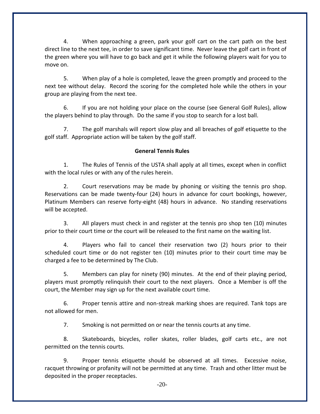4. When approaching a green, park your golf cart on the cart path on the best direct line to the next tee, in order to save significant time. Never leave the golf cart in front of the green where you will have to go back and get it while the following players wait for you to move on.

5. When play of a hole is completed, leave the green promptly and proceed to the next tee without delay. Record the scoring for the completed hole while the others in your group are playing from the next tee.

6. If you are not holding your place on the course (see General Golf Rules), allow the players behind to play through. Do the same if you stop to search for a lost ball.

7. The golf marshals will report slow play and all breaches of golf etiquette to the golf staff. Appropriate action will be taken by the golf staff.

#### **General Tennis Rules**

1. The Rules of Tennis of the USTA shall apply at all times, except when in conflict with the local rules or with any of the rules herein.

2. Court reservations may be made by phoning or visiting the tennis pro shop. Reservations can be made twenty-four (24) hours in advance for court bookings, however, Platinum Members can reserve forty-eight (48) hours in advance. No standing reservations will be accepted.

3. All players must check in and register at the tennis pro shop ten (10) minutes prior to their court time or the court will be released to the first name on the waiting list.

4. Players who fail to cancel their reservation two (2) hours prior to their scheduled court time or do not register ten (10) minutes prior to their court time may be charged a fee to be determined by The Club.

5. Members can play for ninety (90) minutes. At the end of their playing period, players must promptly relinquish their court to the next players. Once a Member is off the court, the Member may sign up for the next available court time.

6. Proper tennis attire and non-streak marking shoes are required. Tank tops are not allowed for men.

7. Smoking is not permitted on or near the tennis courts at any time.

8. Skateboards, bicycles, roller skates, roller blades, golf carts etc., are not permitted on the tennis courts.

9. Proper tennis etiquette should be observed at all times. Excessive noise, racquet throwing or profanity will not be permitted at any time. Trash and other litter must be deposited in the proper receptacles.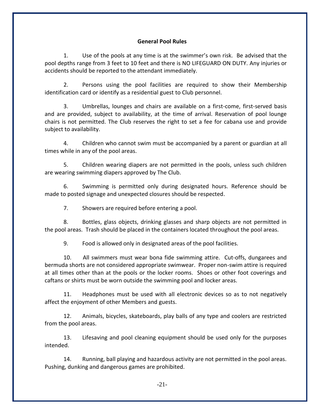#### **General Pool Rules**

1. Use of the pools at any time is at the swimmer's own risk. Be advised that the pool depths range from 3 feet to 10 feet and there is NO LIFEGUARD ON DUTY. Any injuries or accidents should be reported to the attendant immediately.

2. Persons using the pool facilities are required to show their Membership identification card or identify as a residential guest to Club personnel.

3. Umbrellas, lounges and chairs are available on a first-come, first-served basis and are provided, subject to availability, at the time of arrival. Reservation of pool lounge chairs is not permitted. The Club reserves the right to set a fee for cabana use and provide subject to availability.

4. Children who cannot swim must be accompanied by a parent or guardian at all times while in any of the pool areas.

5. Children wearing diapers are not permitted in the pools, unless such children are wearing swimming diapers approved by The Club.

6. Swimming is permitted only during designated hours. Reference should be made to posted signage and unexpected closures should be respected.

7. Showers are required before entering a pool.

8. Bottles, glass objects, drinking glasses and sharp objects are not permitted in the pool areas. Trash should be placed in the containers located throughout the pool areas.

9. Food is allowed only in designated areas of the pool facilities.

10. All swimmers must wear bona fide swimming attire. Cut-offs, dungarees and bermuda shorts are not considered appropriate swimwear. Proper non-swim attire is required at all times other than at the pools or the locker rooms. Shoes or other foot coverings and caftans or shirts must be worn outside the swimming pool and locker areas.

11. Headphones must be used with all electronic devices so as to not negatively affect the enjoyment of other Members and guests.

12. Animals, bicycles, skateboards, play balls of any type and coolers are restricted from the pool areas.

13. Lifesaving and pool cleaning equipment should be used only for the purposes intended.

14. Running, ball playing and hazardous activity are not permitted in the pool areas. Pushing, dunking and dangerous games are prohibited.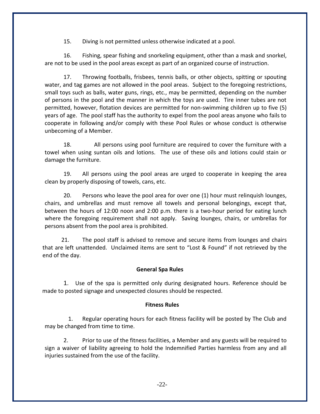15. Diving is not permitted unless otherwise indicated at a pool.

16. Fishing, spear fishing and snorkeling equipment, other than a mask and snorkel, are not to be used in the pool areas except as part of an organized course of instruction.

17. Throwing footballs, frisbees, tennis balls, or other objects, spitting or spouting water, and tag games are not allowed in the pool areas. Subject to the foregoing restrictions, small toys such as balls, water guns, rings, etc., may be permitted, depending on the number of persons in the pool and the manner in which the toys are used. Tire inner tubes are not permitted, however, flotation devices are permitted for non-swimming children up to five (5) years of age. The pool staff has the authority to expel from the pool areas anyone who fails to cooperate in following and/or comply with these Pool Rules or whose conduct is otherwise unbecoming of a Member.

18. All persons using pool furniture are required to cover the furniture with a towel when using suntan oils and lotions. The use of these oils and lotions could stain or damage the furniture.

19. All persons using the pool areas are urged to cooperate in keeping the area clean by properly disposing of towels, cans, etc.

20. Persons who leave the pool area for over one (1) hour must relinquish lounges, chairs, and umbrellas and must remove all towels and personal belongings, except that, between the hours of 12:00 noon and 2:00 p.m. there is a two-hour period for eating lunch where the foregoing requirement shall not apply. Saving lounges, chairs, or umbrellas for persons absent from the pool area is prohibited.

21. The pool staff is advised to remove and secure items from lounges and chairs that are left unattended. Unclaimed items are sent to "Lost & Found" if not retrieved by the end of the day.

## **General Spa Rules**

1. Use of the spa is permitted only during designated hours. Reference should be made to posted signage and unexpected closures should be respected.

#### **Fitness Rules**

1. Regular operating hours for each fitness facility will be posted by The Club and may be changed from time to time.

2. Prior to use of the fitness facilities, a Member and any guests will be required to sign a waiver of liability agreeing to hold the Indemnified Parties harmless from any and all injuries sustained from the use of the facility.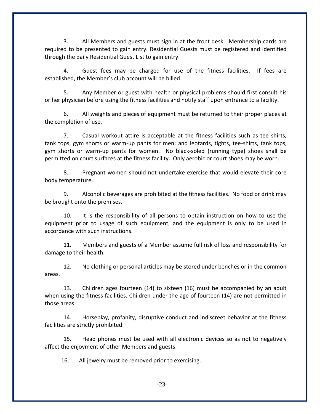3. All Members and guests must sign in at the front desk. Membership cards are required to be presented to gain entry. Residential Guests must be registered and identified through the daily Residential Guest List to gain entry.

4. Guest fees may be charged for use of the fitness facilities. If fees are established, the Member's club account will be billed.

5. Any Member or guest with health or physical problems should first consult his or her physician before using the fitness facilities and notify staff upon entrance to a facility.

6. All weights and pieces of equipment must be returned to their proper places at the completion of use.

7. Casual workout attire is acceptable at the fitness facilities such as tee shirts, tank tops, gym shorts or warm-up pants for men; and leotards, tights, tee-shirts, tank tops, gym shorts or warm-up pants for women. No black-soled (running type) shoes shall be permitted on court surfaces at the fitness facility. Only aerobic or court shoes may be worn.

8. Pregnant women should not undertake exercise that would elevate their core body temperature.

9. Alcoholic beverages are prohibited at the fitness facilities. No food or drink may be brought onto the premises.

10. It is the responsibility of all persons to obtain instruction on how to use the equipment prior to usage of such equipment, and the equipment is only to be used in accordance with such instructions.

11. Members and guests of a Member assume full risk of loss and responsibility for damage to their health.

12. No clothing or personal articles may be stored under benches or in the common areas.

13. Children ages fourteen (14) to sixteen (16) must be accompanied by an adult when using the fitness facilities. Children under the age of fourteen (14) are not permitted in those areas.

14. Horseplay, profanity, disruptive conduct and indiscreet behavior at the fitness facilities are strictly prohibited.

15. Head phones must be used with all electronic devices so as not to negatively affect the enjoyment of other Members and guests.

16. All jewelry must be removed prior to exercising.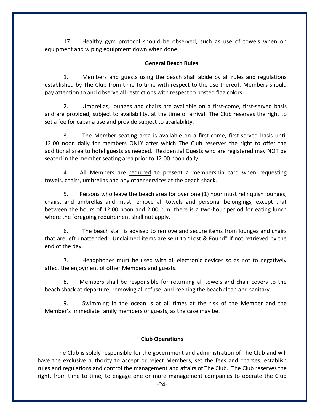17. Healthy gym protocol should be observed, such as use of towels when on equipment and wiping equipment down when done.

#### **General Beach Rules**

1. Members and guests using the beach shall abide by all rules and regulations established by The Club from time to time with respect to the use thereof. Members should pay attention to and observe all restrictions with respect to posted flag colors.

2. Umbrellas, lounges and chairs are available on a first-come, first-served basis and are provided, subject to availability, at the time of arrival. The Club reserves the right to set a fee for cabana use and provide subject to availability.

3. The Member seating area is available on a first-come, first-served basis until 12:00 noon daily for members ONLY after which The Club reserves the right to offer the additional area to hotel guests as needed. Residential Guests who are registered may NOT be seated in the member seating area prior to 12:00 noon daily.

4. All Members are required to present a membership card when requesting towels, chairs, umbrellas and any other services at the beach shack.

5. Persons who leave the beach area for over one (1) hour must relinquish lounges, chairs, and umbrellas and must remove all towels and personal belongings, except that between the hours of 12:00 noon and 2:00 p.m. there is a two-hour period for eating lunch where the foregoing requirement shall not apply.

6. The beach staff is advised to remove and secure items from lounges and chairs that are left unattended. Unclaimed items are sent to "Lost & Found" if not retrieved by the end of the day.

7. Headphones must be used with all electronic devices so as not to negatively affect the enjoyment of other Members and guests.

8. Members shall be responsible for returning all towels and chair covers to the beach shack at departure, removing all refuse, and keeping the beach clean and sanitary.

9. Swimming in the ocean is at all times at the risk of the Member and the Member's immediate family members or guests, as the case may be.

#### **Club Operations**

The Club is solely responsible for the government and administration of The Club and will have the exclusive authority to accept or reject Members, set the fees and charges, establish rules and regulations and control the management and affairs of The Club. The Club reserves the right, from time to time, to engage one or more management companies to operate the Club